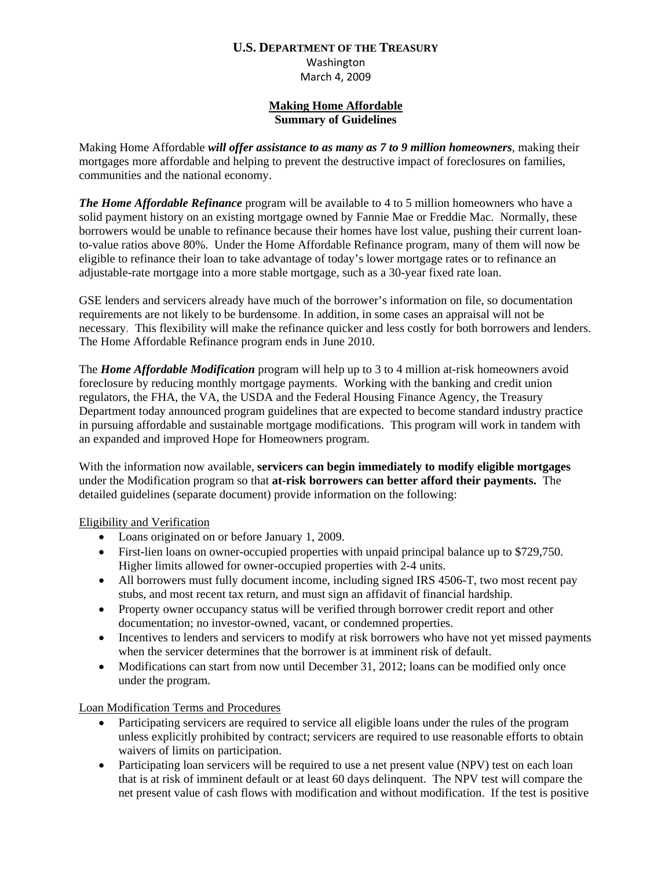# **U.S. DEPARTMENT OF THE TREASURY**

Washington March 4, 2009

#### **Making Home Affordable Summary of Guidelines**

Making Home Affordable *will offer assistance to as many as 7 to 9 million homeowners,* making their mortgages more affordable and helping to prevent the destructive impact of foreclosures on families, communities and the national economy.

*The Home Affordable Refinance* program will be available to 4 to 5 million homeowners who have a solid payment history on an existing mortgage owned by Fannie Mae or Freddie Mac. Normally, these borrowers would be unable to refinance because their homes have lost value, pushing their current loanto-value ratios above 80%. Under the Home Affordable Refinance program, many of them will now be eligible to refinance their loan to take advantage of today's lower mortgage rates or to refinance an adjustable-rate mortgage into a more stable mortgage, such as a 30-year fixed rate loan.

GSE lenders and servicers already have much of the borrower's information on file, so documentation requirements are not likely to be burdensome. In addition, in some cases an appraisal will not be necessary. This flexibility will make the refinance quicker and less costly for both borrowers and lenders. The Home Affordable Refinance program ends in June 2010.

The *Home Affordable Modification* program will help up to 3 to 4 million at-risk homeowners avoid foreclosure by reducing monthly mortgage payments. Working with the banking and credit union regulators, the FHA, the VA, the USDA and the Federal Housing Finance Agency, the Treasury Department today announced program guidelines that are expected to become standard industry practice in pursuing affordable and sustainable mortgage modifications. This program will work in tandem with an expanded and improved Hope for Homeowners program.

With the information now available, **servicers can begin immediately to modify eligible mortgages**  under the Modification program so that **at-risk borrowers can better afford their payments.** The detailed guidelines (separate document) provide information on the following:

## Eligibility and Verification

- Loans originated on or before January 1, 2009.
- First-lien loans on owner-occupied properties with unpaid principal balance up to \$729,750. Higher limits allowed for owner-occupied properties with 2-4 units.
- All borrowers must fully document income, including signed IRS 4506-T, two most recent pay stubs, and most recent tax return, and must sign an affidavit of financial hardship.
- Property owner occupancy status will be verified through borrower credit report and other documentation; no investor-owned, vacant, or condemned properties.
- Incentives to lenders and servicers to modify at risk borrowers who have not yet missed payments when the servicer determines that the borrower is at imminent risk of default.
- Modifications can start from now until December 31, 2012; loans can be modified only once under the program.

## Loan Modification Terms and Procedures

- Participating servicers are required to service all eligible loans under the rules of the program unless explicitly prohibited by contract; servicers are required to use reasonable efforts to obtain waivers of limits on participation.
- Participating loan servicers will be required to use a net present value (NPV) test on each loan that is at risk of imminent default or at least 60 days delinquent. The NPV test will compare the net present value of cash flows with modification and without modification. If the test is positive